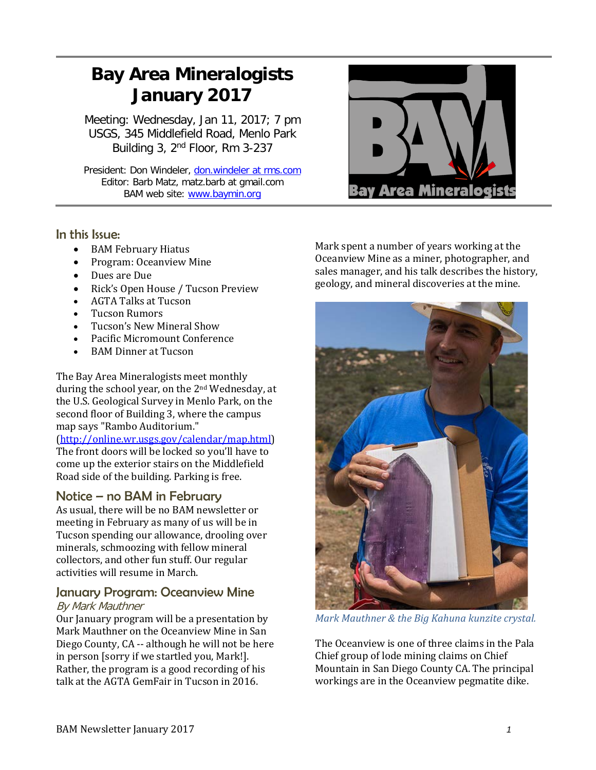# **Bay Area Mineralogists January 2017**

Meeting: Wednesday, Jan 11, 2017; 7 pm USGS, 345 Middlefield Road, Menlo Park Building 3, 2nd Floor, Rm 3-237

President: Don Windeler, don.windeler at rms.com Editor: Barb Matz, matz.barb at gmail.com BAM web site: [www.baymin.org](http://www.baymin.org/)

## In this Issue:

- BAM February Hiatus
- Program: Oceanview Mine
- Dues are Due
- Rick's Open House / Tucson Preview
- AGTA Talks at Tucson<br>• Tucson Rumors
- Tucson Rumors
- Tucson's New Mineral Show
- Pacific Micromount Conference
- BAM Dinner at Tucson

The Bay Area Mineralogists meet monthly during the school year, on the 2nd Wednesday, at the U.S. Geological Survey in Menlo Park, on the second floor of Building 3, where the campus map says "Rambo Auditorium."

[\(http://online.wr.usgs.gov/calendar/map.html\)](http://online.wr.usgs.gov/calendar/map.html) The front doors will be locked so you'll have to come up the exterior stairs on the Middlefield Road side of the building. Parking is free.

## Notice – no BAM in February

As usual, there will be no BAM newsletter or meeting in February as many of us will be in Tucson spending our allowance, drooling over minerals, schmoozing with fellow mineral collectors, and other fun stuff. Our regular activities will resume in March.

#### January Program: Oceanview Mine By Mark Mauthner

Our January program will be a presentation by Mark Mauthner on the Oceanview Mine in San Diego County, CA -- although he will not be here in person [sorry if we startled you, Mark!]. Rather, the program is a good recording of his talk at the AGTA GemFair in Tucson in 2016.



**Bay Area Mineralogists** 



*Mark Mauthner & the Big Kahuna kunzite crystal.*

The Oceanview is one of three claims in the Pala Chief group of lode mining claims on Chief Mountain in San Diego County CA. The principal workings are in the Oceanview pegmatite dike.

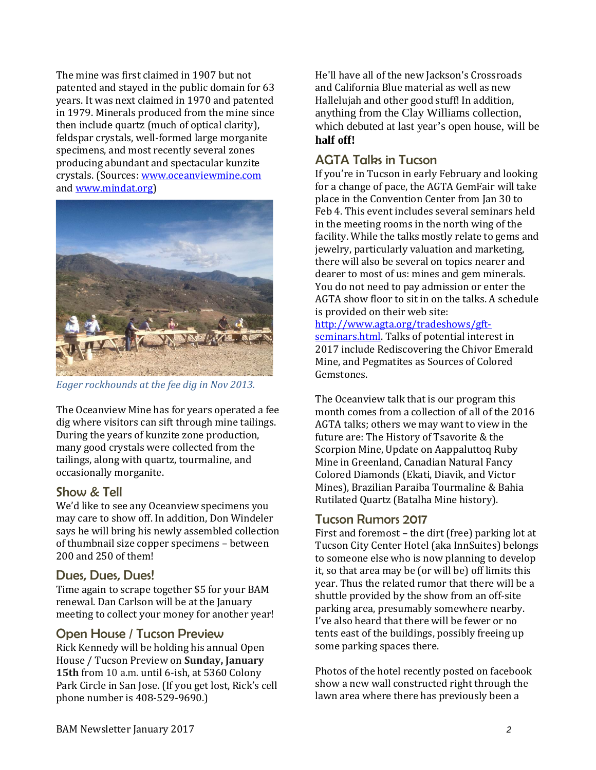The mine was first claimed in 1907 but not patented and stayed in the public domain for 63 years. It was next claimed in 1970 and patented in 1979. Minerals produced from the mine since then include quartz (much of optical clarity), feldspar crystals, well-formed large morganite specimens, and most recently several zones producing abundant and spectacular kunzite crystals. (Sources: [www.oceanviewmine.com](http://www.oceanviewmine.com/) an[d www.mindat.org\)](http://www.mindat.org/)



*Eager rockhounds at the fee dig in Nov 2013.*

The Oceanview Mine has for years operated a fee dig where visitors can sift through mine tailings. During the years of kunzite zone production, many good crystals were collected from the tailings, along with quartz, tourmaline, and occasionally morganite.

## Show & Tell

We'd like to see any Oceanview specimens you may care to show off. In addition, Don Windeler says he will bring his newly assembled collection of thumbnail size copper specimens – between 200 and 250 of them!

## Dues, Dues, Dues!

Time again to scrape together \$5 for your BAM renewal. Dan Carlson will be at the January meeting to collect your money for another year!

## Open House / Tucson Preview

Rick Kennedy will be holding his annual Open House / Tucson Preview on **Sunday, January 15th** from 10 a.m. until 6-ish, at 5360 Colony Park Circle in San Jose. (If you get lost, Rick's cell phone number is 408-529-9690.)

He'll have all of the new Jackson's Crossroads and California Blue material as well as new Hallelujah and other good stuff! In addition, anything from the Clay Williams collection, which debuted at last year's open house, will be **half off!**

# AGTA Talks in Tucson

If you're in Tucson in early February and looking for a change of pace, the AGTA GemFair will take place in the Convention Center from Jan 30 to Feb 4. This event includes several seminars held in the meeting rooms in the north wing of the facility. While the talks mostly relate to gems and jewelry, particularly valuation and marketing, there will also be several on topics nearer and dearer to most of us: mines and gem minerals. You do not need to pay admission or enter the AGTA show floor to sit in on the talks. A schedule is provided on their web site:

#### [http://www.agta.org/tradeshows/gft-](http://www.agta.org/tradeshows/gft-seminars.html)

[seminars.html.](http://www.agta.org/tradeshows/gft-seminars.html) Talks of potential interest in 2017 include Rediscovering the Chivor Emerald Mine, and Pegmatites as Sources of Colored Gemstones.

The Oceanview talk that is our program this month comes from a collection of all of the 2016 AGTA talks; others we may want to view in the future are: The History of Tsavorite & the Scorpion Mine, Update on Aappaluttoq Ruby Mine in Greenland, Canadian Natural Fancy Colored Diamonds (Ekati, Diavik, and Victor Mines), Brazilian Paraiba Tourmaline & Bahia Rutilated Quartz (Batalha Mine history).

## Tucson Rumors 2017

First and foremost – the dirt (free) parking lot at Tucson City Center Hotel (aka InnSuites) belongs to someone else who is now planning to develop it, so that area may be (or will be) off limits this year. Thus the related rumor that there will be a shuttle provided by the show from an off-site parking area, presumably somewhere nearby. I've also heard that there will be fewer or no tents east of the buildings, possibly freeing up some parking spaces there.

Photos of the hotel recently posted on facebook show a new wall constructed right through the lawn area where there has previously been a